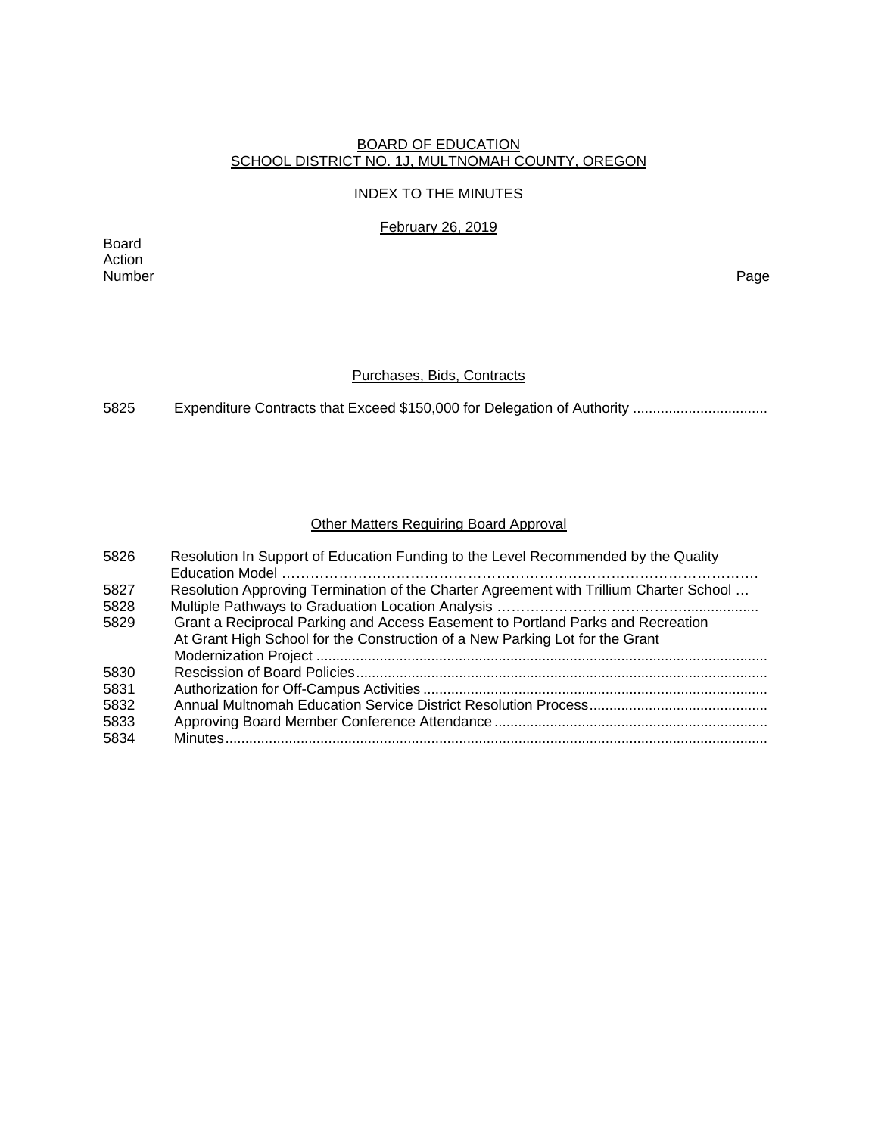### BOARD OF EDUCATION SCHOOL DISTRICT NO. 1J, MULTNOMAH COUNTY, OREGON

### INDEX TO THE MINUTES

February 26, 2019

Board Action Number Page

#### Purchases, Bids, Contracts

5825 Expenditure Contracts that Exceed \$150,000 for Delegation of Authority .................................

### Other Matters Requiring Board Approval

| 5826 | Resolution In Support of Education Funding to the Level Recommended by the Quality     |
|------|----------------------------------------------------------------------------------------|
| 5827 | Resolution Approving Termination of the Charter Agreement with Trillium Charter School |
| 5828 |                                                                                        |
| 5829 | Grant a Reciprocal Parking and Access Easement to Portland Parks and Recreation        |
|      | At Grant High School for the Construction of a New Parking Lot for the Grant           |
|      |                                                                                        |
| 5830 |                                                                                        |
| 5831 |                                                                                        |
| 5832 |                                                                                        |
| 5833 |                                                                                        |
| 5834 |                                                                                        |
|      |                                                                                        |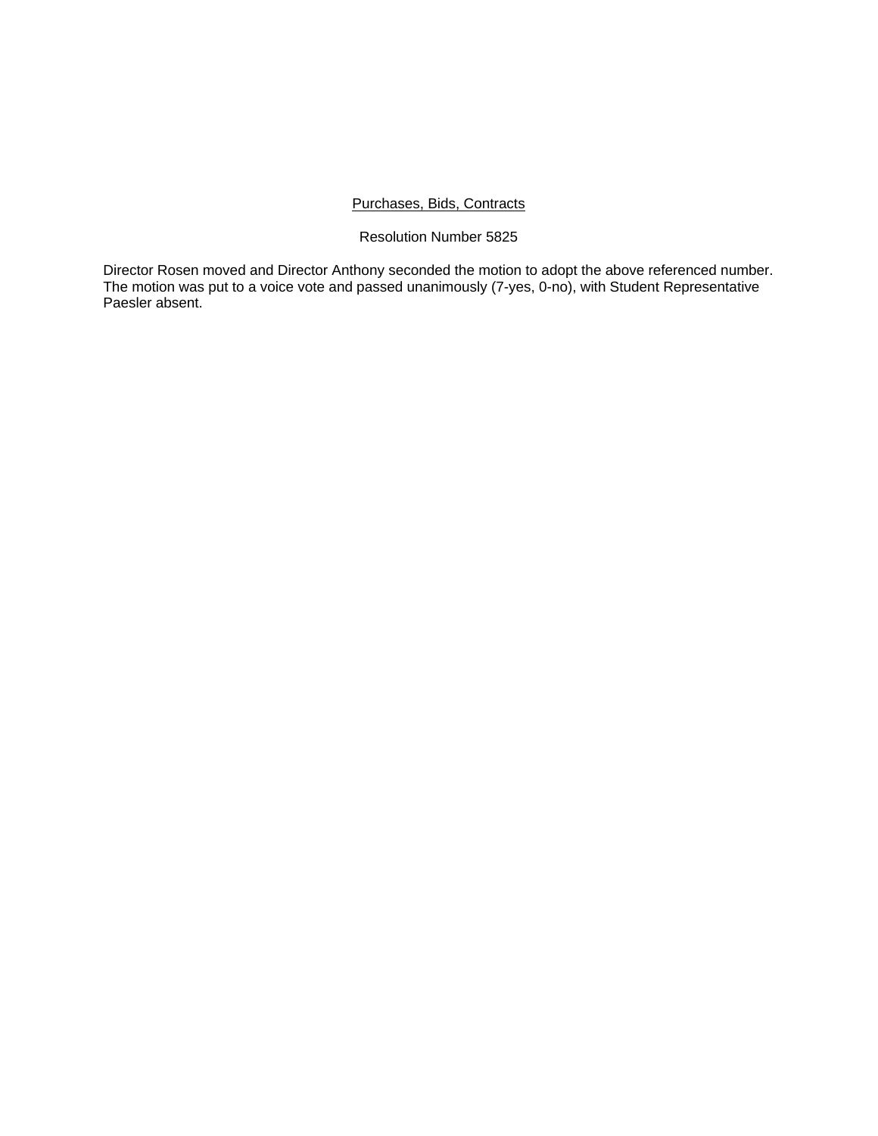### Purchases, Bids, Contracts

# Resolution Number 5825

Director Rosen moved and Director Anthony seconded the motion to adopt the above referenced number. The motion was put to a voice vote and passed unanimously (7-yes, 0-no), with Student Representative Paesler absent.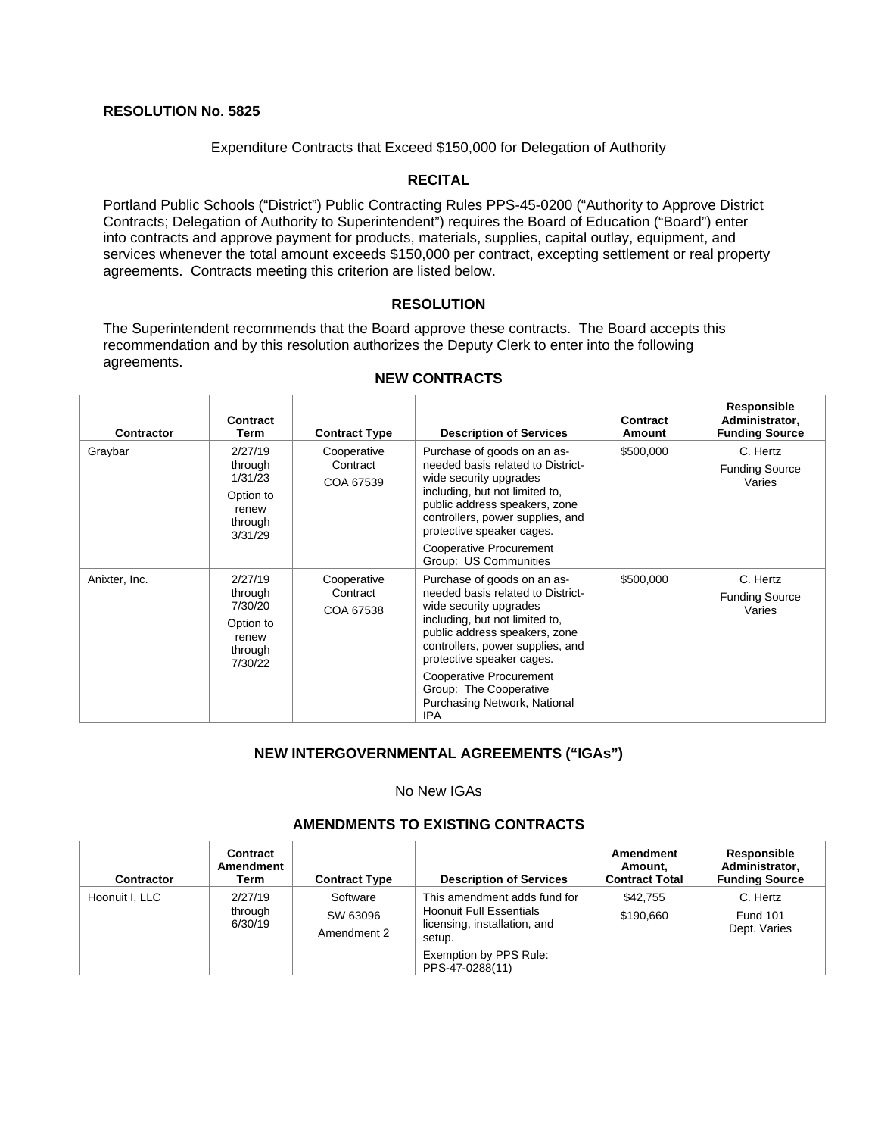### Expenditure Contracts that Exceed \$150,000 for Delegation of Authority

# **RECITAL**

Portland Public Schools ("District") Public Contracting Rules PPS-45-0200 ("Authority to Approve District Contracts; Delegation of Authority to Superintendent") requires the Board of Education ("Board") enter into contracts and approve payment for products, materials, supplies, capital outlay, equipment, and services whenever the total amount exceeds \$150,000 per contract, excepting settlement or real property agreements. Contracts meeting this criterion are listed below.

### **RESOLUTION**

The Superintendent recommends that the Board approve these contracts. The Board accepts this recommendation and by this resolution authorizes the Deputy Clerk to enter into the following agreements.

| <b>Contractor</b> | Contract<br>Term                                                          | <b>Contract Type</b>                 | <b>Description of Services</b>                                                                                                                                                                                                 | Contract<br>Amount | Responsible<br>Administrator,<br><b>Funding Source</b> |
|-------------------|---------------------------------------------------------------------------|--------------------------------------|--------------------------------------------------------------------------------------------------------------------------------------------------------------------------------------------------------------------------------|--------------------|--------------------------------------------------------|
| Graybar           | 2/27/19<br>through<br>1/31/23<br>Option to<br>renew<br>through<br>3/31/29 | Cooperative<br>Contract<br>COA 67539 | Purchase of goods on an as-<br>needed basis related to District-<br>wide security upgrades<br>including, but not limited to,<br>public address speakers, zone<br>controllers, power supplies, and<br>protective speaker cages. |                    | C. Hertz<br><b>Funding Source</b><br>Varies            |
|                   |                                                                           |                                      | <b>Cooperative Procurement</b><br>Group: US Communities                                                                                                                                                                        |                    |                                                        |
| Anixter, Inc.     | 2/27/19<br>through<br>7/30/20<br>Option to<br>renew<br>through<br>7/30/22 | Cooperative<br>Contract<br>COA 67538 | Purchase of goods on an as-<br>needed basis related to District-<br>wide security upgrades<br>including, but not limited to,<br>public address speakers, zone<br>controllers, power supplies, and<br>protective speaker cages. | \$500,000          | C. Hertz<br><b>Funding Source</b><br>Varies            |
|                   |                                                                           |                                      | <b>Cooperative Procurement</b><br>Group: The Cooperative<br>Purchasing Network, National<br><b>IPA</b>                                                                                                                         |                    |                                                        |

#### **NEW CONTRACTS**

# **NEW INTERGOVERNMENTAL AGREEMENTS ("IGAs")**

#### No New IGAs

# **AMENDMENTS TO EXISTING CONTRACTS**

| <b>Contractor</b> | Contract<br>Amendment<br>Term | <b>Contract Type</b>                | <b>Description of Services</b>                                                                           | Amendment<br>Amount.<br><b>Contract Total</b> | Responsible<br>Administrator,<br><b>Funding Source</b> |
|-------------------|-------------------------------|-------------------------------------|----------------------------------------------------------------------------------------------------------|-----------------------------------------------|--------------------------------------------------------|
| Hoonuit I. LLC    | 2/27/19<br>through<br>6/30/19 | Software<br>SW 63096<br>Amendment 2 | This amendment adds fund for<br><b>Hoonuit Full Essentials</b><br>licensing, installation, and<br>setup. | \$42.755<br>\$190.660                         | C. Hertz<br><b>Fund 101</b><br>Dept. Varies            |
|                   |                               |                                     | Exemption by PPS Rule:<br>PPS-47-0288(11)                                                                |                                               |                                                        |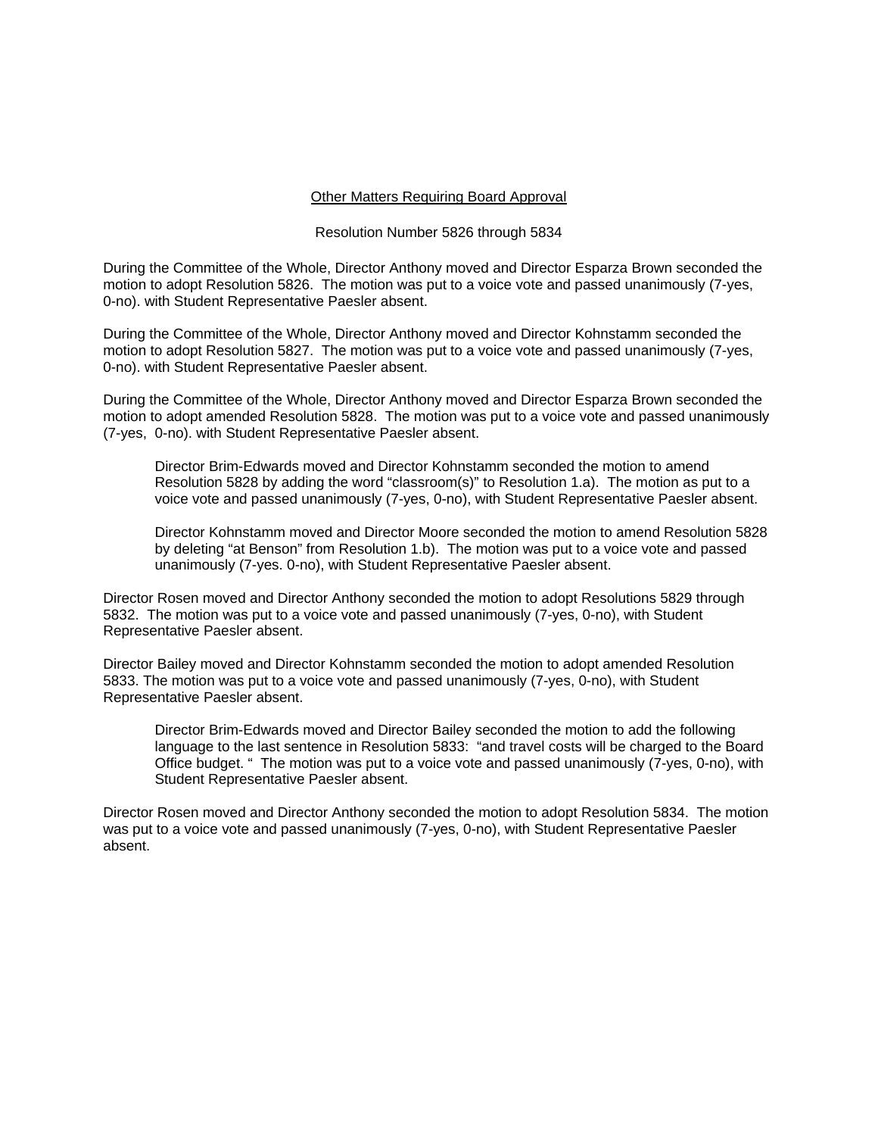#### Other Matters Requiring Board Approval

#### Resolution Number 5826 through 5834

During the Committee of the Whole, Director Anthony moved and Director Esparza Brown seconded the motion to adopt Resolution 5826. The motion was put to a voice vote and passed unanimously (7-yes, 0-no). with Student Representative Paesler absent.

During the Committee of the Whole, Director Anthony moved and Director Kohnstamm seconded the motion to adopt Resolution 5827. The motion was put to a voice vote and passed unanimously (7-yes, 0-no). with Student Representative Paesler absent.

During the Committee of the Whole, Director Anthony moved and Director Esparza Brown seconded the motion to adopt amended Resolution 5828. The motion was put to a voice vote and passed unanimously (7-yes, 0-no). with Student Representative Paesler absent.

Director Brim-Edwards moved and Director Kohnstamm seconded the motion to amend Resolution 5828 by adding the word "classroom(s)" to Resolution 1.a). The motion as put to a voice vote and passed unanimously (7-yes, 0-no), with Student Representative Paesler absent.

Director Kohnstamm moved and Director Moore seconded the motion to amend Resolution 5828 by deleting "at Benson" from Resolution 1.b). The motion was put to a voice vote and passed unanimously (7-yes. 0-no), with Student Representative Paesler absent.

Director Rosen moved and Director Anthony seconded the motion to adopt Resolutions 5829 through 5832. The motion was put to a voice vote and passed unanimously (7-yes, 0-no), with Student Representative Paesler absent.

Director Bailey moved and Director Kohnstamm seconded the motion to adopt amended Resolution 5833. The motion was put to a voice vote and passed unanimously (7-yes, 0-no), with Student Representative Paesler absent.

Director Brim-Edwards moved and Director Bailey seconded the motion to add the following language to the last sentence in Resolution 5833: "and travel costs will be charged to the Board Office budget. " The motion was put to a voice vote and passed unanimously (7-yes, 0-no), with Student Representative Paesler absent.

Director Rosen moved and Director Anthony seconded the motion to adopt Resolution 5834. The motion was put to a voice vote and passed unanimously (7-yes, 0-no), with Student Representative Paesler absent.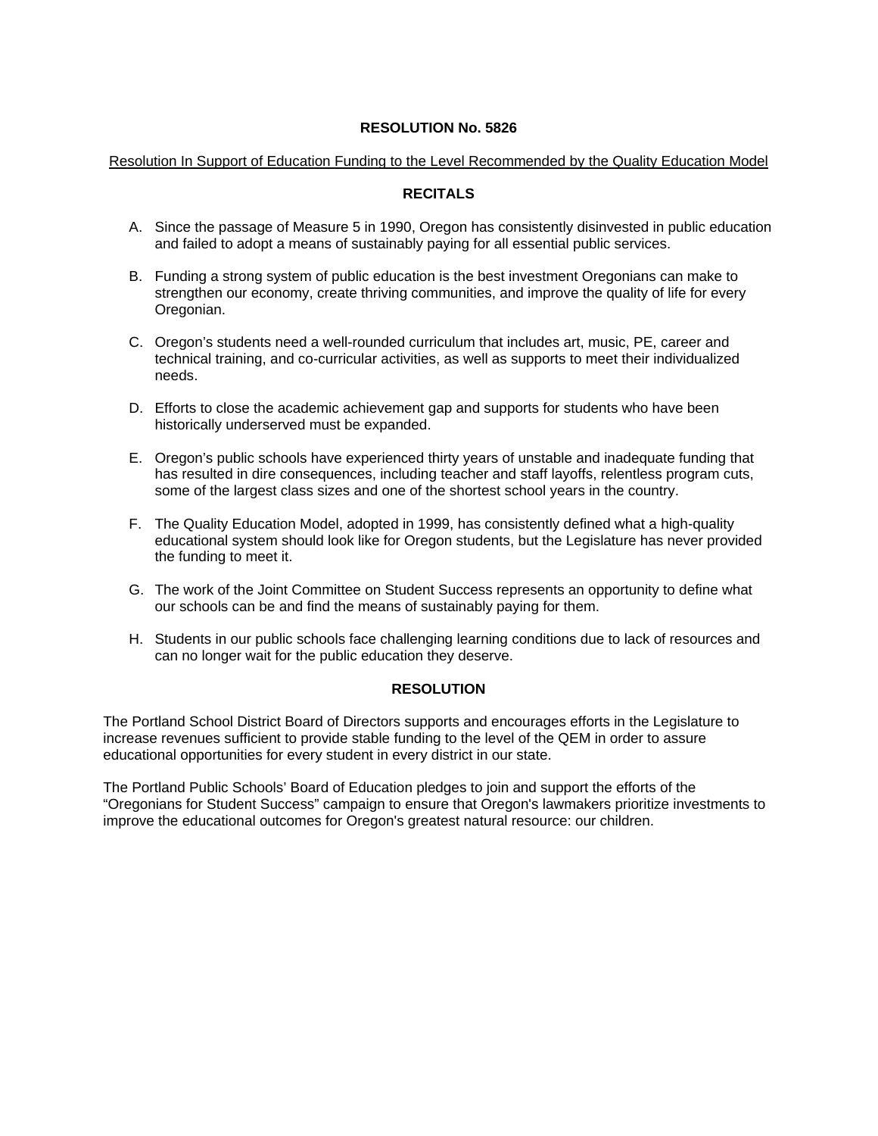### Resolution In Support of Education Funding to the Level Recommended by the Quality Education Model

# **RECITALS**

- A. Since the passage of Measure 5 in 1990, Oregon has consistently disinvested in public education and failed to adopt a means of sustainably paying for all essential public services.
- B. Funding a strong system of public education is the best investment Oregonians can make to strengthen our economy, create thriving communities, and improve the quality of life for every Oregonian.
- C. Oregon's students need a well-rounded curriculum that includes art, music, PE, career and technical training, and co-curricular activities, as well as supports to meet their individualized needs.
- D. Efforts to close the academic achievement gap and supports for students who have been historically underserved must be expanded.
- E. Oregon's public schools have experienced thirty years of unstable and inadequate funding that has resulted in dire consequences, including teacher and staff layoffs, relentless program cuts, some of the largest class sizes and one of the shortest school years in the country.
- F. The Quality Education Model, adopted in 1999, has consistently defined what a high-quality educational system should look like for Oregon students, but the Legislature has never provided the funding to meet it.
- G. The work of the Joint Committee on Student Success represents an opportunity to define what our schools can be and find the means of sustainably paying for them.
- H. Students in our public schools face challenging learning conditions due to lack of resources and can no longer wait for the public education they deserve.

# **RESOLUTION**

The Portland School District Board of Directors supports and encourages efforts in the Legislature to increase revenues sufficient to provide stable funding to the level of the QEM in order to assure educational opportunities for every student in every district in our state.

The Portland Public Schools' Board of Education pledges to join and support the efforts of the "Oregonians for Student Success" campaign to ensure that Oregon's lawmakers prioritize investments to improve the educational outcomes for Oregon's greatest natural resource: our children.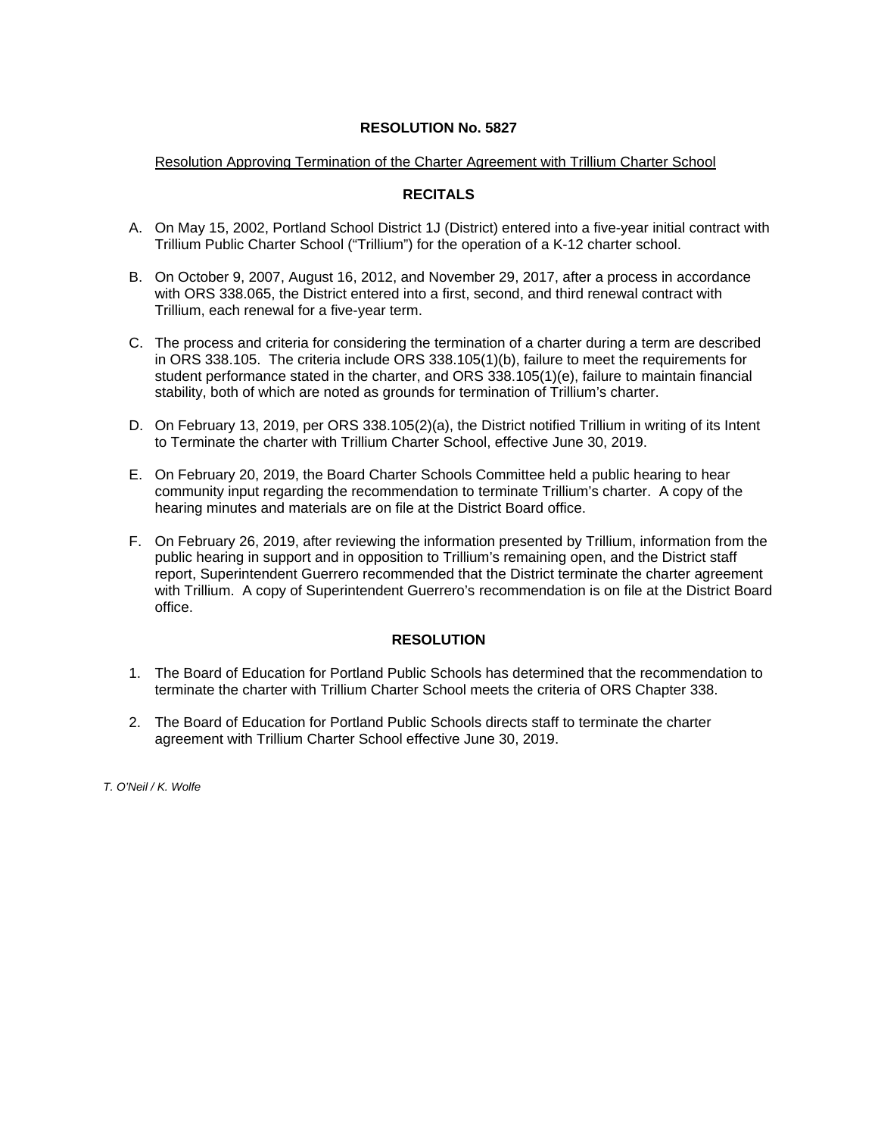### Resolution Approving Termination of the Charter Agreement with Trillium Charter School

### **RECITALS**

- A. On May 15, 2002, Portland School District 1J (District) entered into a five-year initial contract with Trillium Public Charter School ("Trillium") for the operation of a K-12 charter school.
- B. On October 9, 2007, August 16, 2012, and November 29, 2017, after a process in accordance with ORS 338.065, the District entered into a first, second, and third renewal contract with Trillium, each renewal for a five-year term.
- C. The process and criteria for considering the termination of a charter during a term are described in ORS 338.105. The criteria include ORS 338.105(1)(b), failure to meet the requirements for student performance stated in the charter, and ORS 338.105(1)(e), failure to maintain financial stability, both of which are noted as grounds for termination of Trillium's charter.
- D. On February 13, 2019, per ORS 338.105(2)(a), the District notified Trillium in writing of its Intent to Terminate the charter with Trillium Charter School, effective June 30, 2019.
- E. On February 20, 2019, the Board Charter Schools Committee held a public hearing to hear community input regarding the recommendation to terminate Trillium's charter. A copy of the hearing minutes and materials are on file at the District Board office.
- F. On February 26, 2019, after reviewing the information presented by Trillium, information from the public hearing in support and in opposition to Trillium's remaining open, and the District staff report, Superintendent Guerrero recommended that the District terminate the charter agreement with Trillium. A copy of Superintendent Guerrero's recommendation is on file at the District Board office.

# **RESOLUTION**

- 1. The Board of Education for Portland Public Schools has determined that the recommendation to terminate the charter with Trillium Charter School meets the criteria of ORS Chapter 338.
- 2. The Board of Education for Portland Public Schools directs staff to terminate the charter agreement with Trillium Charter School effective June 30, 2019.

*T. O'Neil / K. Wolfe*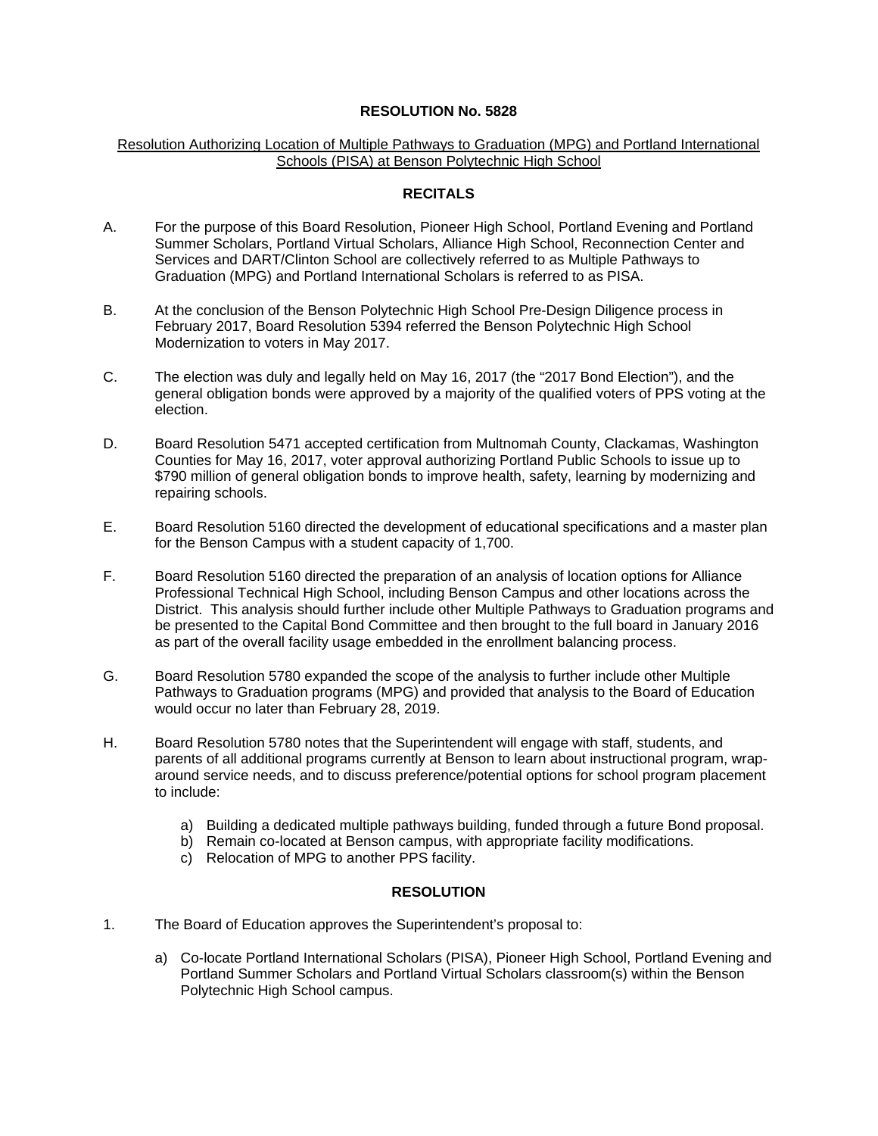### Resolution Authorizing Location of Multiple Pathways to Graduation (MPG) and Portland International Schools (PISA) at Benson Polytechnic High School

# **RECITALS**

- A. For the purpose of this Board Resolution, Pioneer High School, Portland Evening and Portland Summer Scholars, Portland Virtual Scholars, Alliance High School, Reconnection Center and Services and DART/Clinton School are collectively referred to as Multiple Pathways to Graduation (MPG) and Portland International Scholars is referred to as PISA.
- B. At the conclusion of the Benson Polytechnic High School Pre-Design Diligence process in February 2017, Board Resolution 5394 referred the Benson Polytechnic High School Modernization to voters in May 2017.
- C. The election was duly and legally held on May 16, 2017 (the "2017 Bond Election"), and the general obligation bonds were approved by a majority of the qualified voters of PPS voting at the election.
- D. Board Resolution 5471 accepted certification from Multnomah County, Clackamas, Washington Counties for May 16, 2017, voter approval authorizing Portland Public Schools to issue up to \$790 million of general obligation bonds to improve health, safety, learning by modernizing and repairing schools.
- E. Board Resolution 5160 directed the development of educational specifications and a master plan for the Benson Campus with a student capacity of 1,700.
- F. Board Resolution 5160 directed the preparation of an analysis of location options for Alliance Professional Technical High School, including Benson Campus and other locations across the District. This analysis should further include other Multiple Pathways to Graduation programs and be presented to the Capital Bond Committee and then brought to the full board in January 2016 as part of the overall facility usage embedded in the enrollment balancing process.
- G. Board Resolution 5780 expanded the scope of the analysis to further include other Multiple Pathways to Graduation programs (MPG) and provided that analysis to the Board of Education would occur no later than February 28, 2019.
- H. Board Resolution 5780 notes that the Superintendent will engage with staff, students, and parents of all additional programs currently at Benson to learn about instructional program, wraparound service needs, and to discuss preference/potential options for school program placement to include:
	- a) Building a dedicated multiple pathways building, funded through a future Bond proposal.
	- b) Remain co-located at Benson campus, with appropriate facility modifications.
	- c) Relocation of MPG to another PPS facility.

# **RESOLUTION**

- 1. The Board of Education approves the Superintendent's proposal to:
	- a) Co-locate Portland International Scholars (PISA), Pioneer High School, Portland Evening and Portland Summer Scholars and Portland Virtual Scholars classroom(s) within the Benson Polytechnic High School campus.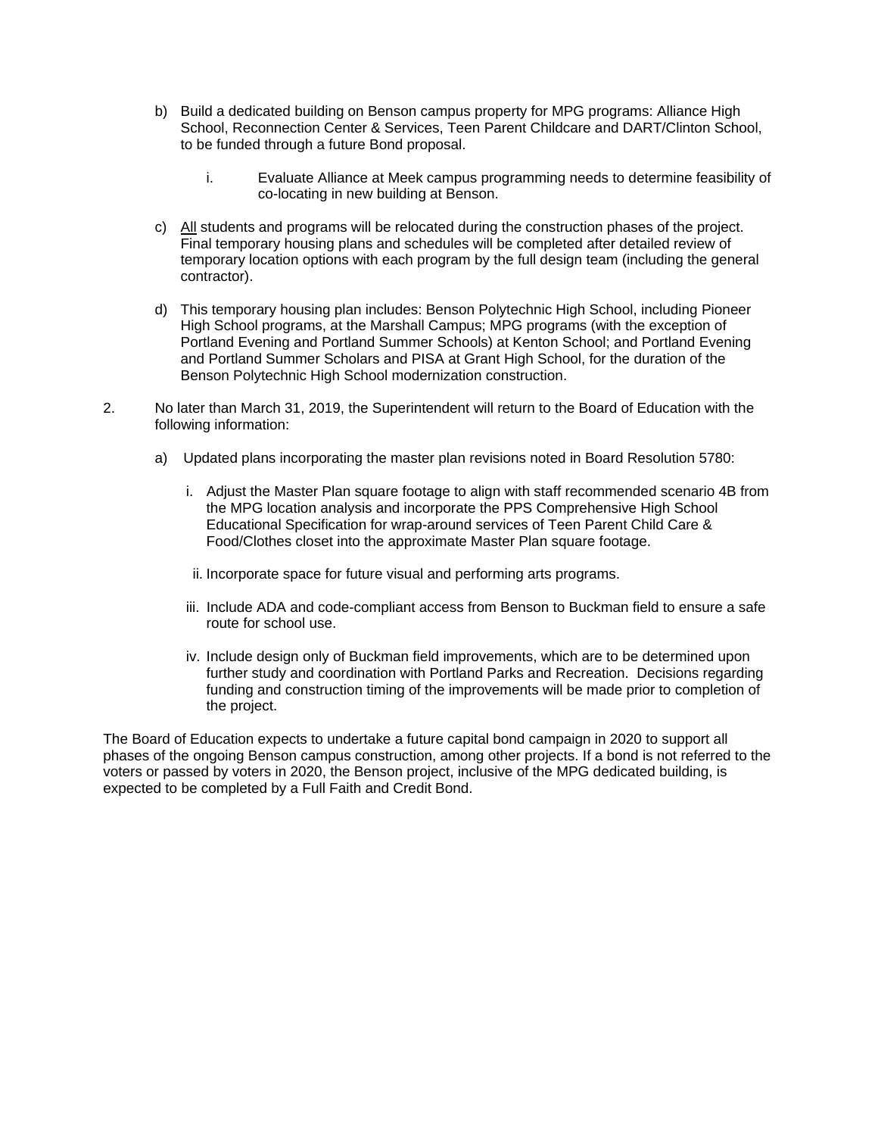- b) Build a dedicated building on Benson campus property for MPG programs: Alliance High School, Reconnection Center & Services, Teen Parent Childcare and DART/Clinton School, to be funded through a future Bond proposal.
	- i. Evaluate Alliance at Meek campus programming needs to determine feasibility of co-locating in new building at Benson.
- c) All students and programs will be relocated during the construction phases of the project. Final temporary housing plans and schedules will be completed after detailed review of temporary location options with each program by the full design team (including the general contractor).
- d) This temporary housing plan includes: Benson Polytechnic High School, including Pioneer High School programs, at the Marshall Campus; MPG programs (with the exception of Portland Evening and Portland Summer Schools) at Kenton School; and Portland Evening and Portland Summer Scholars and PISA at Grant High School, for the duration of the Benson Polytechnic High School modernization construction.
- 2. No later than March 31, 2019, the Superintendent will return to the Board of Education with the following information:
	- a) Updated plans incorporating the master plan revisions noted in Board Resolution 5780:
		- i. Adjust the Master Plan square footage to align with staff recommended scenario 4B from the MPG location analysis and incorporate the PPS Comprehensive High School Educational Specification for wrap-around services of Teen Parent Child Care & Food/Clothes closet into the approximate Master Plan square footage.
		- ii. Incorporate space for future visual and performing arts programs.
		- iii. Include ADA and code-compliant access from Benson to Buckman field to ensure a safe route for school use.
		- iv. Include design only of Buckman field improvements, which are to be determined upon further study and coordination with Portland Parks and Recreation. Decisions regarding funding and construction timing of the improvements will be made prior to completion of the project.

The Board of Education expects to undertake a future capital bond campaign in 2020 to support all phases of the ongoing Benson campus construction, among other projects. If a bond is not referred to the voters or passed by voters in 2020, the Benson project, inclusive of the MPG dedicated building, is expected to be completed by a Full Faith and Credit Bond.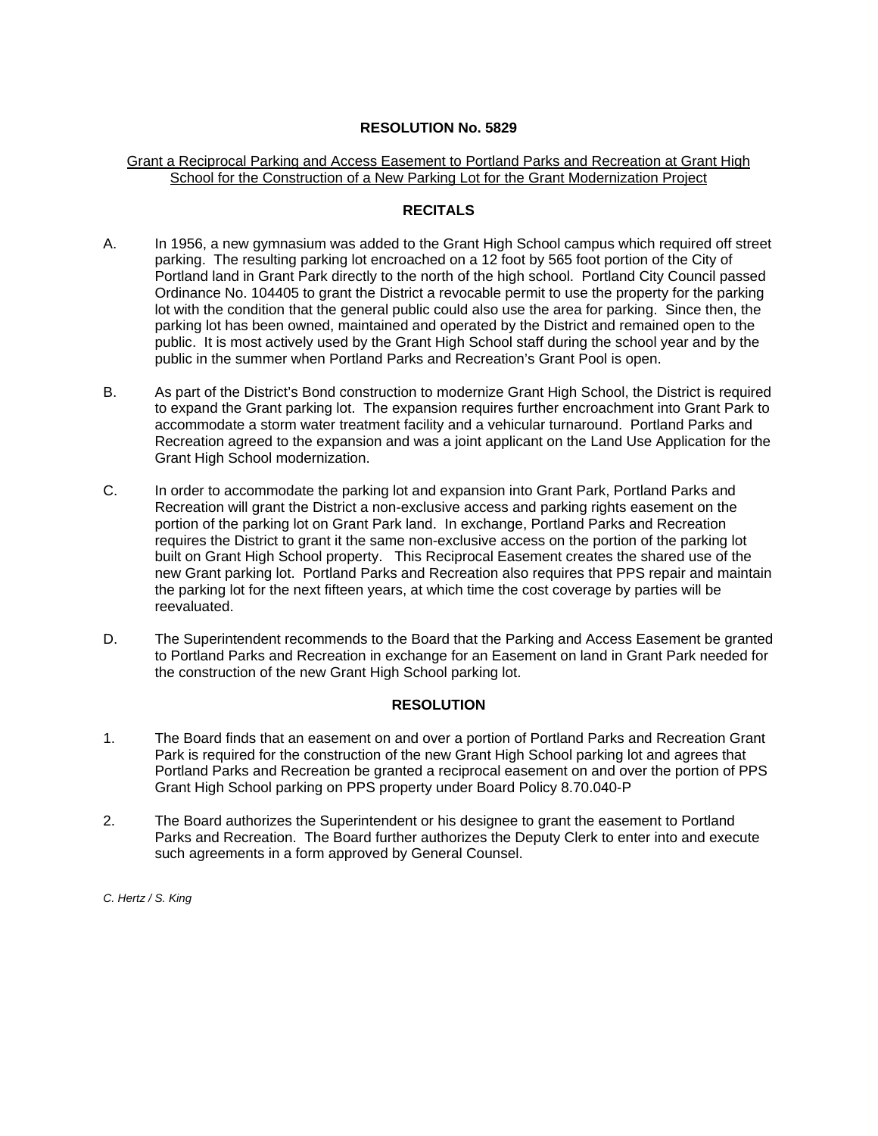### Grant a Reciprocal Parking and Access Easement to Portland Parks and Recreation at Grant High School for the Construction of a New Parking Lot for the Grant Modernization Project

### **RECITALS**

- A. In 1956, a new gymnasium was added to the Grant High School campus which required off street parking. The resulting parking lot encroached on a 12 foot by 565 foot portion of the City of Portland land in Grant Park directly to the north of the high school. Portland City Council passed Ordinance No. 104405 to grant the District a revocable permit to use the property for the parking lot with the condition that the general public could also use the area for parking. Since then, the parking lot has been owned, maintained and operated by the District and remained open to the public. It is most actively used by the Grant High School staff during the school year and by the public in the summer when Portland Parks and Recreation's Grant Pool is open.
- B. As part of the District's Bond construction to modernize Grant High School, the District is required to expand the Grant parking lot. The expansion requires further encroachment into Grant Park to accommodate a storm water treatment facility and a vehicular turnaround. Portland Parks and Recreation agreed to the expansion and was a joint applicant on the Land Use Application for the Grant High School modernization.
- C. In order to accommodate the parking lot and expansion into Grant Park, Portland Parks and Recreation will grant the District a non-exclusive access and parking rights easement on the portion of the parking lot on Grant Park land. In exchange, Portland Parks and Recreation requires the District to grant it the same non-exclusive access on the portion of the parking lot built on Grant High School property. This Reciprocal Easement creates the shared use of the new Grant parking lot. Portland Parks and Recreation also requires that PPS repair and maintain the parking lot for the next fifteen years, at which time the cost coverage by parties will be reevaluated.
- D. The Superintendent recommends to the Board that the Parking and Access Easement be granted to Portland Parks and Recreation in exchange for an Easement on land in Grant Park needed for the construction of the new Grant High School parking lot.

# **RESOLUTION**

- 1. The Board finds that an easement on and over a portion of Portland Parks and Recreation Grant Park is required for the construction of the new Grant High School parking lot and agrees that Portland Parks and Recreation be granted a reciprocal easement on and over the portion of PPS Grant High School parking on PPS property under Board Policy 8.70.040-P
- 2. The Board authorizes the Superintendent or his designee to grant the easement to Portland Parks and Recreation. The Board further authorizes the Deputy Clerk to enter into and execute such agreements in a form approved by General Counsel.

*C. Hertz / S. King*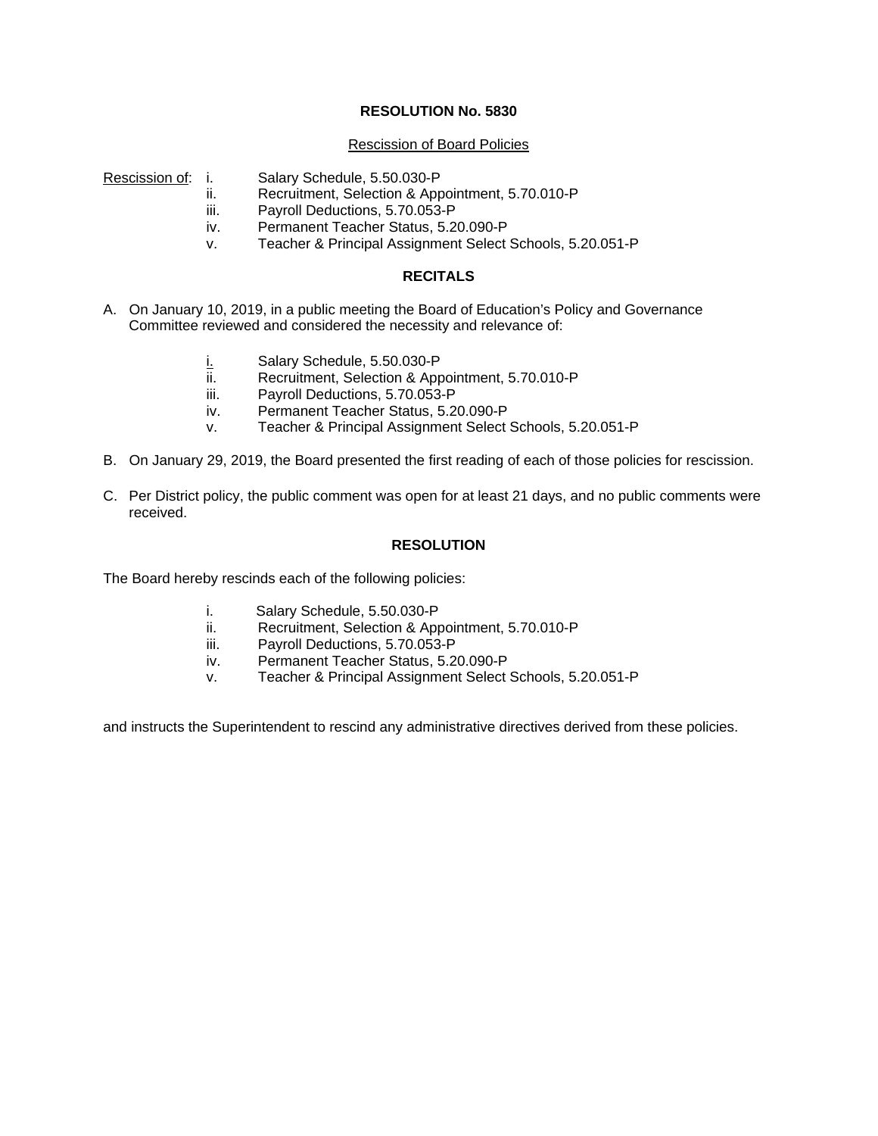#### Rescission of Board Policies

- Rescission of: i. Salary Schedule, 5.50.030-P
	- ii. Recruitment, Selection & Appointment, 5.70.010-P
	- iii. Payroll Deductions, 5.70.053-P
	- iv. Permanent Teacher Status, 5.20.090-P
	- v. Teacher & Principal Assignment Select Schools, 5.20.051-P

# **RECITALS**

- A. On January 10, 2019, in a public meeting the Board of Education's Policy and Governance Committee reviewed and considered the necessity and relevance of:
	- i. Salary Schedule, 5.50.030-P
	- ii. Recruitment, Selection & Appointment, 5.70.010-P
	- iii. Payroll Deductions, 5.70.053-P
	- iv. Permanent Teacher Status, 5.20.090-P
	- v. Teacher & Principal Assignment Select Schools, 5.20.051-P
- B. On January 29, 2019, the Board presented the first reading of each of those policies for rescission.
- C. Per District policy, the public comment was open for at least 21 days, and no public comments were received.

### **RESOLUTION**

The Board hereby rescinds each of the following policies:

- i. Salary Schedule, 5.50.030-P
- ii. Recruitment, Selection & Appointment, 5.70.010-P
- iii. Payroll Deductions, 5.70.053-P
- iv. Permanent Teacher Status, 5.20.090-P
- v. Teacher & Principal Assignment Select Schools, 5.20.051-P

and instructs the Superintendent to rescind any administrative directives derived from these policies.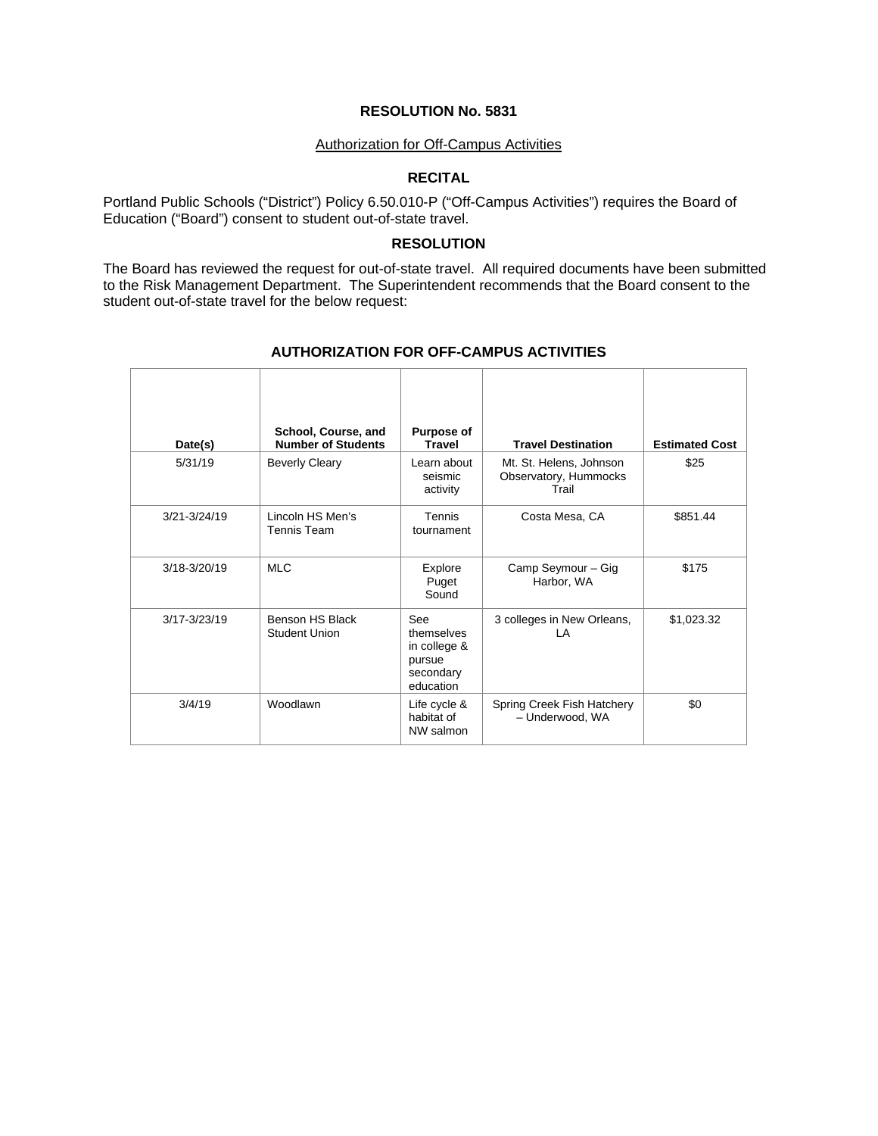#### Authorization for Off-Campus Activities

# **RECITAL**

Portland Public Schools ("District") Policy 6.50.010-P ("Off-Campus Activities") requires the Board of Education ("Board") consent to student out-of-state travel.

#### **RESOLUTION**

The Board has reviewed the request for out-of-state travel. All required documents have been submitted to the Risk Management Department. The Superintendent recommends that the Board consent to the student out-of-state travel for the below request:

| Date(s)          | School, Course, and<br><b>Number of Students</b> | Purpose of<br><b>Travel</b>                                                  | <b>Travel Destination</b>                                 | <b>Estimated Cost</b> |
|------------------|--------------------------------------------------|------------------------------------------------------------------------------|-----------------------------------------------------------|-----------------------|
| 5/31/19          | <b>Beverly Cleary</b>                            | Learn about<br>seismic<br>activity                                           | Mt. St. Helens, Johnson<br>Observatory, Hummocks<br>Trail | \$25                  |
| $3/21 - 3/24/19$ | Lincoln HS Men's<br>Tennis Team                  | Tennis<br>tournament                                                         | Costa Mesa, CA                                            | \$851.44              |
| 3/18-3/20/19     | <b>MLC</b>                                       | Explore<br>Puget<br>Sound                                                    | Camp Seymour - Gig<br>Harbor, WA                          | \$175                 |
| $3/17 - 3/23/19$ | Benson HS Black<br>Student Union                 | <b>See</b><br>themselves<br>in college &<br>pursue<br>secondary<br>education | 3 colleges in New Orleans,<br>ΙA                          | \$1,023.32            |
| 3/4/19           | Woodlawn                                         | Life cycle &<br>habitat of<br>NW salmon                                      | Spring Creek Fish Hatchery<br>- Underwood, WA             | \$0                   |

# **AUTHORIZATION FOR OFF-CAMPUS ACTIVITIES**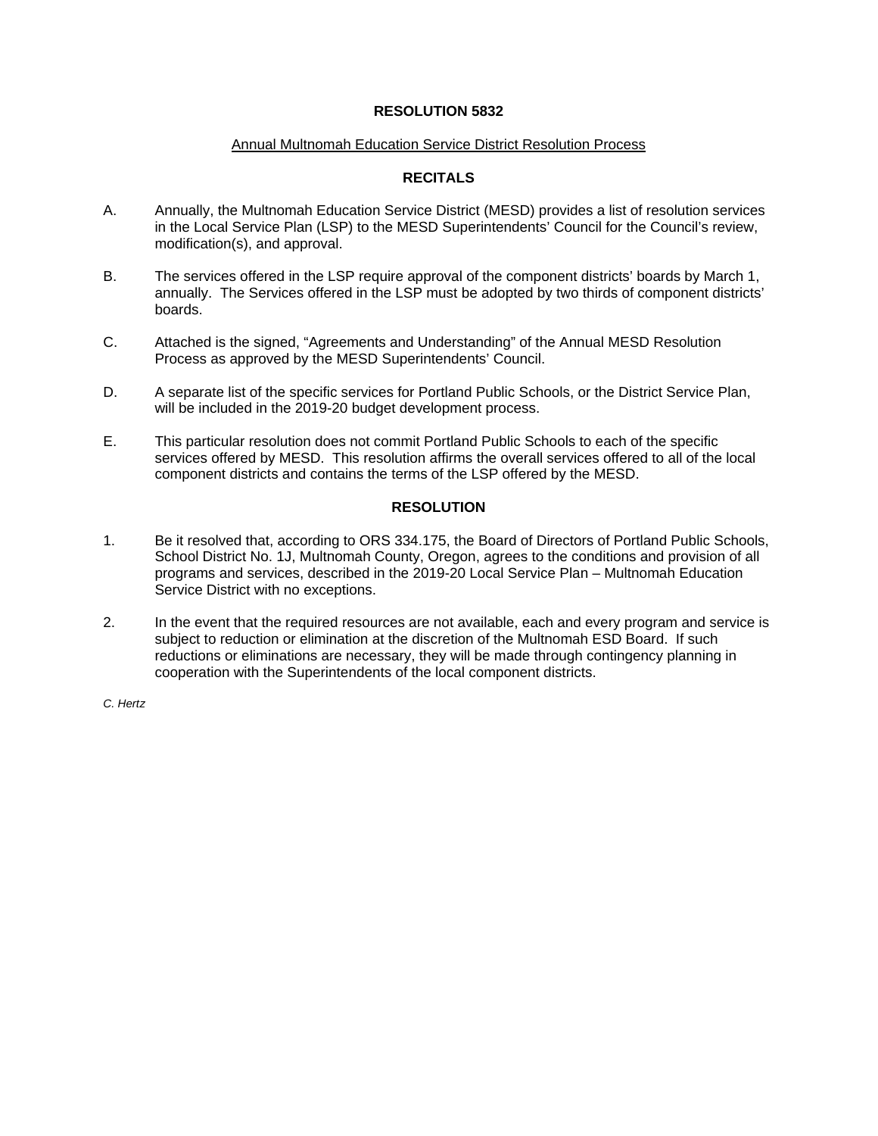### **RESOLUTION 5832**

#### Annual Multnomah Education Service District Resolution Process

# **RECITALS**

- A. Annually, the Multnomah Education Service District (MESD) provides a list of resolution services in the Local Service Plan (LSP) to the MESD Superintendents' Council for the Council's review, modification(s), and approval.
- B. The services offered in the LSP require approval of the component districts' boards by March 1, annually. The Services offered in the LSP must be adopted by two thirds of component districts' boards.
- C. Attached is the signed, "Agreements and Understanding" of the Annual MESD Resolution Process as approved by the MESD Superintendents' Council.
- D. A separate list of the specific services for Portland Public Schools, or the District Service Plan, will be included in the 2019-20 budget development process.
- E. This particular resolution does not commit Portland Public Schools to each of the specific services offered by MESD. This resolution affirms the overall services offered to all of the local component districts and contains the terms of the LSP offered by the MESD.

### **RESOLUTION**

- 1. Be it resolved that, according to ORS 334.175, the Board of Directors of Portland Public Schools, School District No. 1J, Multnomah County, Oregon, agrees to the conditions and provision of all programs and services, described in the 2019-20 Local Service Plan – Multnomah Education Service District with no exceptions.
- 2. In the event that the required resources are not available, each and every program and service is subject to reduction or elimination at the discretion of the Multnomah ESD Board. If such reductions or eliminations are necessary, they will be made through contingency planning in cooperation with the Superintendents of the local component districts.

*C. Hertz*